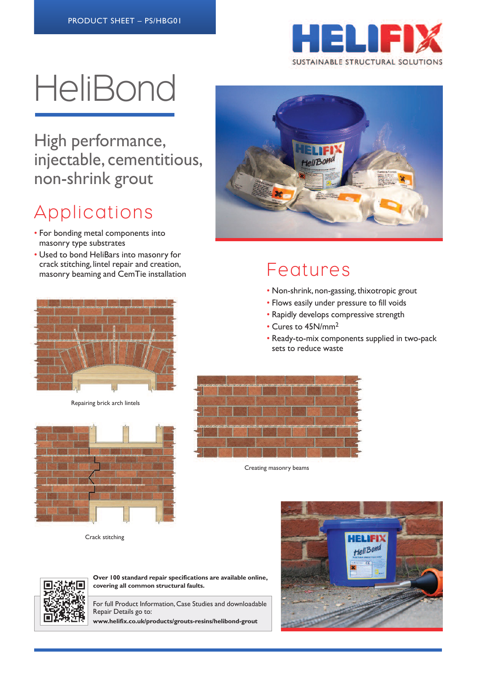

# **HeliBond**

High performance, injectable, cementitious, non-shrink grout

# Applications

- For bonding metal components into masonry type substrates
- Used to bond HeliBars into masonry for crack stitching, lintel repair and creation, masonry beaming and CemTie installation Features



Repairing brick arch lintels



Crack stitching



- Non-shrink, non-gassing, thixotropic grout
- Flows easily under pressure to fill voids
- Rapidly develops compressive strength
- Cures to 45N/mm2
- Ready-to-mix components supplied in two-pack sets to reduce waste



Creating masonry beams





**Over 100 standard repair specifications are available online, covering all common structural faults.**

For full Product Information, Case Studies and downloadable Repair Details go to:

**www.helifix.co.uk/products/grouts-resins/helibond-grout**